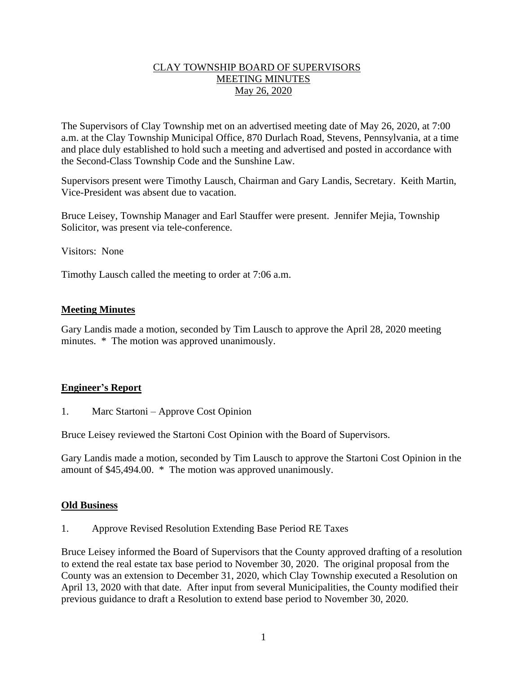## CLAY TOWNSHIP BOARD OF SUPERVISORS MEETING MINUTES May 26, 2020

The Supervisors of Clay Township met on an advertised meeting date of May 26, 2020, at 7:00 a.m. at the Clay Township Municipal Office, 870 Durlach Road, Stevens, Pennsylvania, at a time and place duly established to hold such a meeting and advertised and posted in accordance with the Second-Class Township Code and the Sunshine Law.

Supervisors present were Timothy Lausch, Chairman and Gary Landis, Secretary. Keith Martin, Vice-President was absent due to vacation.

Bruce Leisey, Township Manager and Earl Stauffer were present. Jennifer Mejia, Township Solicitor, was present via tele-conference.

Visitors: None

Timothy Lausch called the meeting to order at 7:06 a.m.

## **Meeting Minutes**

Gary Landis made a motion, seconded by Tim Lausch to approve the April 28, 2020 meeting minutes. \* The motion was approved unanimously.

## **Engineer's Report**

1. Marc Startoni – Approve Cost Opinion

Bruce Leisey reviewed the Startoni Cost Opinion with the Board of Supervisors.

Gary Landis made a motion, seconded by Tim Lausch to approve the Startoni Cost Opinion in the amount of \$45,494.00. \* The motion was approved unanimously.

## **Old Business**

1. Approve Revised Resolution Extending Base Period RE Taxes

Bruce Leisey informed the Board of Supervisors that the County approved drafting of a resolution to extend the real estate tax base period to November 30, 2020. The original proposal from the County was an extension to December 31, 2020, which Clay Township executed a Resolution on April 13, 2020 with that date. After input from several Municipalities, the County modified their previous guidance to draft a Resolution to extend base period to November 30, 2020.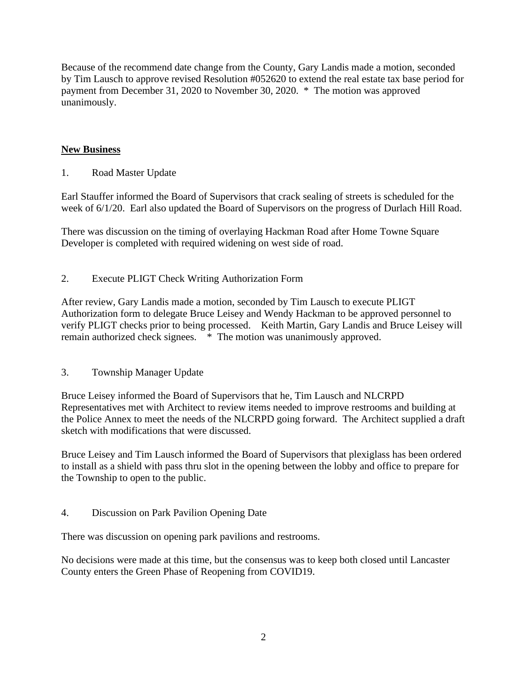Because of the recommend date change from the County, Gary Landis made a motion, seconded by Tim Lausch to approve revised Resolution #052620 to extend the real estate tax base period for payment from December 31, 2020 to November 30, 2020. \* The motion was approved unanimously.

# **New Business**

1. Road Master Update

Earl Stauffer informed the Board of Supervisors that crack sealing of streets is scheduled for the week of 6/1/20. Earl also updated the Board of Supervisors on the progress of Durlach Hill Road.

There was discussion on the timing of overlaying Hackman Road after Home Towne Square Developer is completed with required widening on west side of road.

2. Execute PLIGT Check Writing Authorization Form

After review, Gary Landis made a motion, seconded by Tim Lausch to execute PLIGT Authorization form to delegate Bruce Leisey and Wendy Hackman to be approved personnel to verify PLIGT checks prior to being processed. Keith Martin, Gary Landis and Bruce Leisey will remain authorized check signees. \* The motion was unanimously approved.

3. Township Manager Update

Bruce Leisey informed the Board of Supervisors that he, Tim Lausch and NLCRPD Representatives met with Architect to review items needed to improve restrooms and building at the Police Annex to meet the needs of the NLCRPD going forward. The Architect supplied a draft sketch with modifications that were discussed.

Bruce Leisey and Tim Lausch informed the Board of Supervisors that plexiglass has been ordered to install as a shield with pass thru slot in the opening between the lobby and office to prepare for the Township to open to the public.

4. Discussion on Park Pavilion Opening Date

There was discussion on opening park pavilions and restrooms.

No decisions were made at this time, but the consensus was to keep both closed until Lancaster County enters the Green Phase of Reopening from COVID19.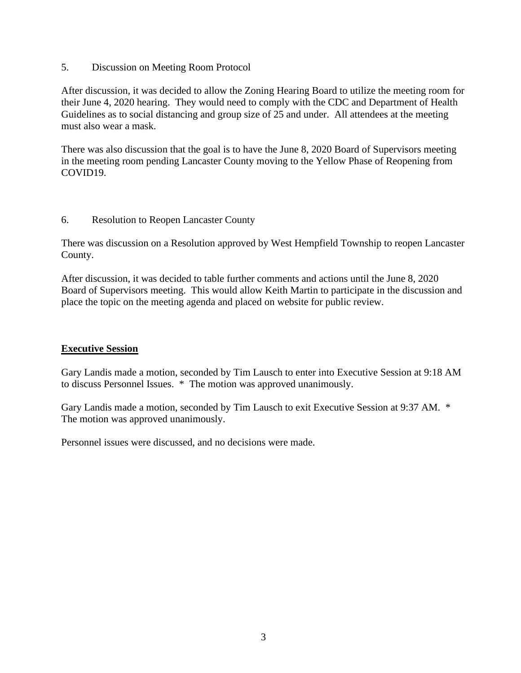5. Discussion on Meeting Room Protocol

After discussion, it was decided to allow the Zoning Hearing Board to utilize the meeting room for their June 4, 2020 hearing. They would need to comply with the CDC and Department of Health Guidelines as to social distancing and group size of 25 and under. All attendees at the meeting must also wear a mask.

There was also discussion that the goal is to have the June 8, 2020 Board of Supervisors meeting in the meeting room pending Lancaster County moving to the Yellow Phase of Reopening from COVID19.

## 6. Resolution to Reopen Lancaster County

There was discussion on a Resolution approved by West Hempfield Township to reopen Lancaster County.

After discussion, it was decided to table further comments and actions until the June 8, 2020 Board of Supervisors meeting. This would allow Keith Martin to participate in the discussion and place the topic on the meeting agenda and placed on website for public review.

## **Executive Session**

Gary Landis made a motion, seconded by Tim Lausch to enter into Executive Session at 9:18 AM to discuss Personnel Issues. \* The motion was approved unanimously.

Gary Landis made a motion, seconded by Tim Lausch to exit Executive Session at 9:37 AM. \* The motion was approved unanimously.

Personnel issues were discussed, and no decisions were made.